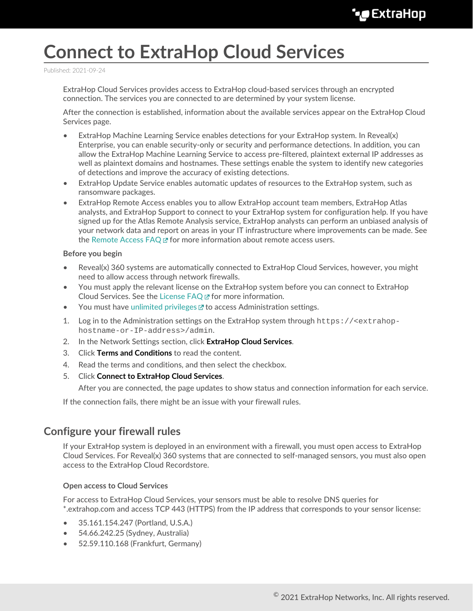# **Connect to ExtraHop Cloud Services**

Published: 2021-09-24

ExtraHop Cloud Services provides access to ExtraHop cloud-based services through an encrypted connection. The services you are connected to are determined by your system license.

After the connection is established, information about the available services appear on the ExtraHop Cloud Services page.

- ExtraHop Machine Learning Service enables detections for your ExtraHop system. In Reveal(x) Enterprise, you can enable security-only or security and performance detections. In addition, you can allow the ExtraHop Machine Learning Service to access pre-filtered, plaintext external IP addresses as well as plaintext domains and hostnames. These settings enable the system to identify new categories of detections and improve the accuracy of existing detections.
- ExtraHop Update Service enables automatic updates of resources to the ExtraHop system, such as ransomware packages.
- ExtraHop Remote Access enables you to allow ExtraHop account team members, ExtraHop Atlas analysts, and ExtraHop Support to connect to your ExtraHop system for configuration help. If you have signed up for the Atlas Remote Analysis service, ExtraHop analysts can perform an unbiased analysis of your network data and report on areas in your IT infrastructure where improvements can be made. See the [Remote Access FAQ](https://docs.extrahop.com/8.4/remote-access-faq)  $\mathbb Z$  for more information about remote access users.

#### **Before you begin**

- Reveal(x) 360 systems are automatically connected to ExtraHop Cloud Services, however, you might need to allow access through network firewalls.
- You must apply the relevant license on the ExtraHop system before you can connect to ExtraHop Cloud Services. See the [License FAQ](https://docs.extrahop.com/8.4/license-faq)  $\Xi$  for more information.
- You must have [unlimited privileges](https://docs.extrahop.com/8.4/eh-admin-ui-guide/#user-privileges) **T** to access Administration settings.
- 1. Log in to the Administration settings on the ExtraHop system through https://<extrahophostname-or-IP-address>/admin.
- 2. In the Network Settings section, click **ExtraHop Cloud Services**.
- 3. Click **Terms and Conditions** to read the content.
- 4. Read the terms and conditions, and then select the checkbox.
- 5. Click **Connect to ExtraHop Cloud Services**.

After you are connected, the page updates to show status and connection information for each service.

If the connection fails, there might be an issue with your firewall rules.

### **Configure your firewall rules**

If your ExtraHop system is deployed in an environment with a firewall, you must open access to ExtraHop Cloud Services. For Reveal(x) 360 systems that are connected to self-managed sensors, you must also open access to the ExtraHop Cloud Recordstore.

### **Open access to Cloud Services**

For access to ExtraHop Cloud Services, your sensors must be able to resolve DNS queries for \*.extrahop.com and access TCP 443 (HTTPS) from the IP address that corresponds to your sensor license:

- 35.161.154.247 (Portland, U.S.A.)
- 54.66.242.25 (Sydney, Australia)
- 52.59.110.168 (Frankfurt, Germany)